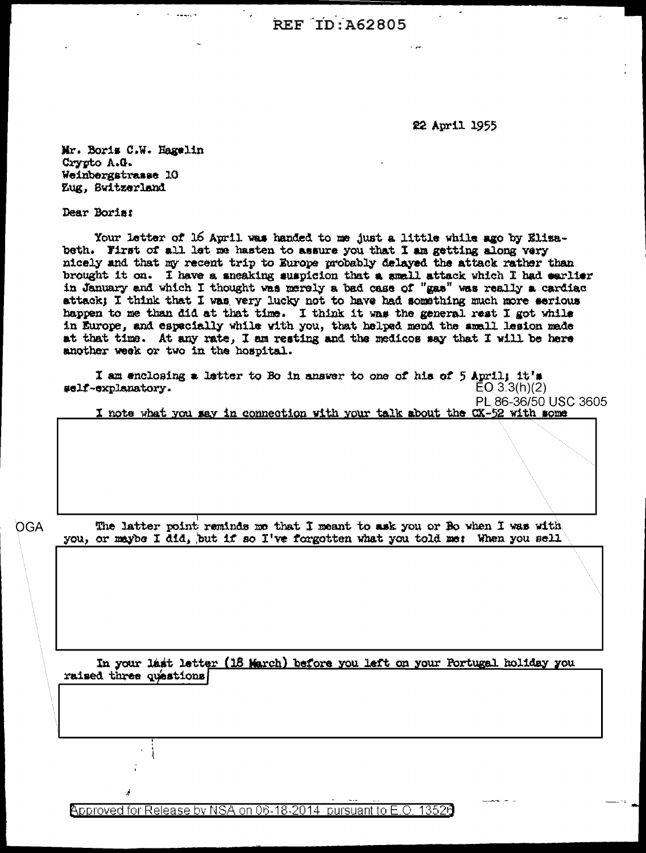**REF ID: A62805** 

22 April 1955

Mr. Boris C.W. Hagelin Crypto A.G. Weinbergstrasse 10 Zug, Switzerland

Dear Boris:

Your letter of 16 April was handed to me just a little while ago by Elizabeth. First of all let me hasten to assure you that I am getting along very nicely and that my recent trip to Europe probably delayed the attack rather than brought it on. I have a sneaking suspicion that a small attack which I had earlier in January and which I thought was merely a bad case of "gas" was really a cardiac attack; I think that I was very lucky not to have had something much more serious happen to me than did at that time. I think it was the general rest I got while<br>in Europe, and especially while with you, that helped mend the small lesion mede at that time. At any rate, I am resting and the medicos say that I will be here another week or two in the hospital.

I am enclosing a letter to Bo in answer to one of his of 5 April; it's #elf-explanatory.  $EQ$  3.3(h)(2) PL 86-36/50 USC 3605

I note what you say in connection with your talk about the CX-52 with some

OGA

The latter point reminds me that I meant to ask you or Bo when I was with you, or maybe I did, but if so I've forgotten what you told me: When you sell

In your last letter (18 March) before you left on your Portugal holiday you raised three questions

Approved for Release by NSA on 06-18-2014 pursuant to E.O. 13526